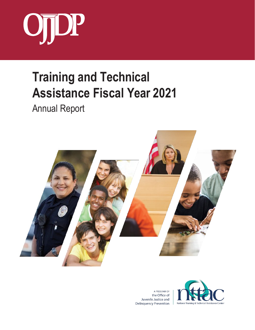

# **Training and Technical Assistance Fiscal Year 2021**

Annual Report



A PROGRAM OF the Office of Juvenile Justice and **Delinquency Prevention** 

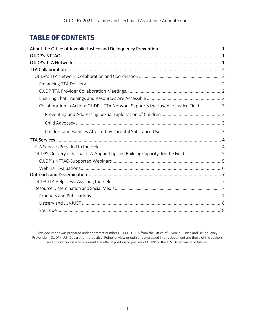# TABLE OF CONTENTS

| Collaboration in Action: OJJDP's TTA Network Supports the Juvenile Justice Field3 |  |
|-----------------------------------------------------------------------------------|--|
|                                                                                   |  |
|                                                                                   |  |
|                                                                                   |  |
|                                                                                   |  |
|                                                                                   |  |
| OJJDP's Delivery of Virtual TTA: Supporting and Building Capacity for the Field 5 |  |
|                                                                                   |  |
|                                                                                   |  |
|                                                                                   |  |
|                                                                                   |  |
|                                                                                   |  |
|                                                                                   |  |
|                                                                                   |  |
|                                                                                   |  |

This document was prepared under contract number GS-00F-010CA from the Office of Juvenile Justice and Delinquency Prevention (OJJDP), U.S. Department of Justice. Points of view or opinions expressed in this document are those of the authors and do not necessarily represent the official position or policies of OJJDP or the U.S. Department of Justice.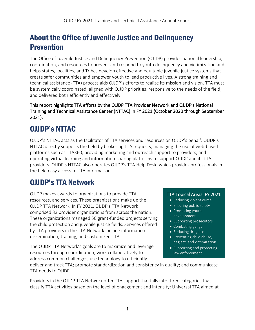## <span id="page-2-0"></span>About the Office of Juvenile Justice and Delinquency Prevention

The Office of Juvenile Justice and Delinquency Prevention (OJJDP) provides national leadership, coordination, and resources to prevent and respond to youth delinquency and victimization and helps states, localities, and Tribes develop effective and equitable juvenile justice systems that create safer communities and empower youth to lead productive lives. A strong training and technical assistance (TTA) process aids OJJDP's efforts to realize its mission and vision. TTA must be systemically coordinated, aligned with OJJDP priorities, responsive to the needs of the field, and delivered both efficiently and effectively.

This report highlights TTA efforts by the OJJDP TTA Provider Network and OJJDP's National Training and Technical Assistance Center (NTTAC) in FY 2021 (October 2020 through September 2021).

# <span id="page-2-1"></span>OJJDP's NTTAC

OJJDP's NTTAC acts as the facilitator of TTA services and resources on OJJDP's behalf. OJJDP's NTTAC directly supports the field by brokering TTA requests, managing the use of web-based platforms such as TTA360, providing marketing and outreach support to providers, and operating virtual learning and information-sharing platforms to support OJJDP and its TTA providers. OJJDP's NTTAC also operates OJJDP's TTA Help Desk, which provides professionals in the field easy access to TTA information.

## <span id="page-2-2"></span>OJJDP's TTA Network

OJJDP makes awards to organizations to provide TTA, resources, and services. These organizations make up the OJJDP TTA Network. In FY 2021, OJJDP's TTA Network comprised 33 provider organizations from across the nation. These organizations managed 50 grant-funded projects serving the child protection and juvenile justice fields. Services offered by TTA providers in the TTA Network include information dissemination, training, and customized TTA.

The OJJDP TTA Network's goals are to maximize and leverage resources through coordination; work collaboratively to address common challenges; use technology to efficiently

#### TTA Topical Areas: FY 2021

- Reducing violent crime
- Ensuring public safety • Promoting youth
- development
- Supporting prosecutors
- Combating gangs
- Reducing drug use
- Preventing child abuse, neglect, and victimization
- Supporting and protecting law enforcement

deliver and track TTA; promote standardization and consistency in quality; and communicate TTA needs to OJJDP.

Providers in the OJJDP TTA Network offer TTA support that falls into three categories that classify TTA activities based on the level of engagement and intensity: Universal TTA aimed at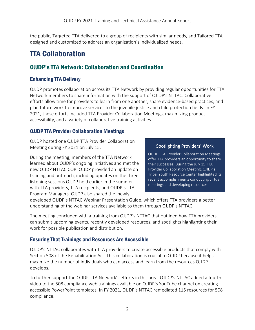the public, Targeted TTA delivered to a group of recipients with similar needs, and Tailored TTA designed and customized to address an organization's individualized needs.

# <span id="page-3-0"></span>TTA Collaboration

### <span id="page-3-1"></span>OJJDP's TTA Network: Collaboration and Coordination

#### <span id="page-3-2"></span>Enhancing TTA Delivery

OJJDP promotes collaboration across its TTA Network by providing regular opportunities for TTA Network members to share information with the support of OJJDP's NTTAC. Collaborative efforts allow time for providers to learn from one another, share evidence-based practices, and plan future work to improve services to the juvenile justice and child protection fields. In FY 2021, these efforts included TTA Provider Collaboration Meetings, maximizing product accessibility, and a variety of collaborative training activities.

#### <span id="page-3-3"></span>OJJDP TTA Provider Collaboration Meetings

OJJDP hosted one OJJDP TTA Provider Collaboration Meeting during FY 2021 on July 15.

During the meeting, members of the TTA Network learned about OJJDP's ongoing initiatives and met the new OJJDP NTTAC COR. OJJDP provided an update on training and outreach, including updates on the three listening sessions OJJDP held earlier in the summer with TTA providers, TTA recipients, and OJJDP's TTA Program Managers. OJJDP also shared the newly

#### Spotlighting Providers' Work

OJJDP TTA Provider Collaboration Meetings offer TTA providers an opportunity to share their successes. During the July 15 TTA Provider Collaboration Meeting, OJJDP's Tribal Youth Resource Center highlighted its recent accomplishments conducting virtual meetings and developing resources.

developed OJJDP's NTTAC Webinar Presentation Guide, which offers TTA providers a better understanding of the webinar services available to them through OJJDP's NTTAC.

The meeting concluded with a training from OJJDP's NTTAC that outlined how TTA providers can submit upcoming events, recently developed resources, and spotlights highlighting their work for possible publication and distribution.

#### <span id="page-3-4"></span>Ensuring That Trainings and Resources Are Accessible

OJJDP's NTTAC collaborates with TTA providers to create accessible products that comply with Section 508 of the Rehabilitation Act. This collaboration is crucial to OJJDP because it helps maximize the number of individuals who can access and learn from the resources OJJDP develops.

To further support the OJJDP TTA Network's efforts in this area, OJJDP's NTTAC added a fourth video to the 508 compliance web trainings available on OJJDP's YouTube channel on creating accessible PowerPoint templates. In FY 2021, OJJDP's NTTAC remediated 115 resources for 508 compliance.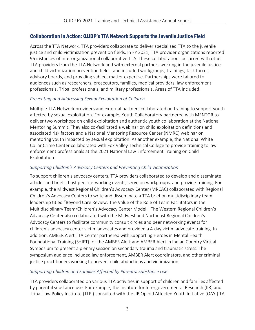#### <span id="page-4-0"></span>Collaboration in Action: OJJDP's TTA Network Supports the Juvenile Justice Field

Across the TTA Network, TTA providers collaborate to deliver specialized TTA to the juvenile justice and child victimization prevention fields. In FY 2021, TTA provider organizations reported 96 instances of interorganizational collaborative TTA. These collaborations occurred with other TTA providers from the TTA Network and with external partners working in the juvenile justice and child victimization prevention fields, and included workgroups, trainings, task forces, advisory boards, and providing subject matter expertise. Partnerships were tailored to audiences such as researchers, prosecutors, families, medical providers, law enforcement professionals, Tribal professionals, and military professionals. Areas of TTA included:

#### <span id="page-4-1"></span>*Preventing and Addressing Sexual Exploitation of Children*

Multiple TTA Network providers and external partners collaborated on training to support youth affected by sexual exploitation. For example, Youth Collaboratory partnered with MENTOR to deliver two workshops on child exploitation and authentic youth collaboration at the National Mentoring Summit. They also co-facilitated a webinar on child exploitation definitions and associated risk factors and a National Mentoring Resource Center (NMRC) webinar on mentoring youth impacted by sexual exploitation. As another example, the National White Collar Crime Center collaborated with Fox Valley Technical College to provide training to law enforcement professionals at the 2021 National Law Enforcement Training on Child Exploitation.

#### <span id="page-4-2"></span>*Supporting Children's Advocacy Centers and Preventing Child Victimization*

To support children's advocacy centers, TTA providers collaborated to develop and disseminate articles and briefs, host peer networking events, serve on workgroups, and provide training. For example, the Midwest Regional Children's Advocacy Center (MRCAC) collaborated with Regional Children's Advocacy Centers to write and disseminate a TTA brief on multidisciplinary team leadership titled "Beyond Care Review: The Value of the Role of Team Facilitators in the Multidisciplinary Team/Children's Advocacy Center Model." The Western Regional Children's Advocacy Center also collaborated with the Midwest and Northeast Regional Children's Advocacy Centers to facilitate community consult circles and peer networking events for children's advocacy center victim advocates and provided a 4-day victim advocate training. In addition, AMBER Alert TTA Center partnered with Supporting Heroes in Mental Health Foundational Training (SHIFT) for the AMBER Alert and AMBER Alert in Indian Country Virtual Symposium to present a plenary session on secondary trauma and traumatic stress. The symposium audience included law enforcement, AMBER Alert coordinators, and other criminal justice practitioners working to prevent child abductions and victimization.

#### <span id="page-4-3"></span>*Supporting Children and Families Affected by Parental Substance Use*

TTA providers collaborated on various TTA activities in support of children and families affected by parental substance use. For example, the Institute for Intergovernmental Research (IIR) and Tribal Law Policy Institute (TLPI) consulted with the IIR Opioid Affected Youth Initiative (OAYI) TA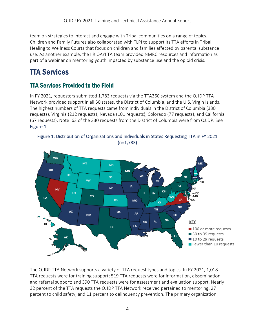team on strategies to interact and engage with Tribal communities on a range of topics. Children and Family Futures also collaborated with TLPI to support its TTA efforts in Tribal Healing to Wellness Courts that focus on children and families affected by parental substance use. As another example, the IIR OAYI TA team provided NMRC resources and information as part of a webinar on mentoring youth impacted by substance use and the opioid crisis.

# <span id="page-5-0"></span>TTA Services

### <span id="page-5-1"></span>TTA Services Provided to the Field

In FY 2021, requesters submitted 1,783 requests via the TTA360 system and the OJJDP TTA Network provided support in all 50 states, the District of Columbia, and the U.S. Virgin Islands. The highest numbers of TTA requests came from individuals in the District of Columbia (330 requests), Virginia (212 requests), Nevada (101 requests), Colorado (77 requests), and California (67 requests). Note: 63 of the 330 requests from the District of Columbia were from OJJDP. See Figure 1.





The OJJDP TTA Network supports a variety of TTA request types and topics. In FY 2021, 1,018 TTA requests were for training support; 519 TTA requests were for information, dissemination, and referral support; and 390 TTA requests were for assessment and evaluation support. Nearly 32 percent of the TTA requests the OJJDP TTA Network received pertained to mentoring, 27 percent to child safety, and 11 percent to delinquency prevention. The primary organization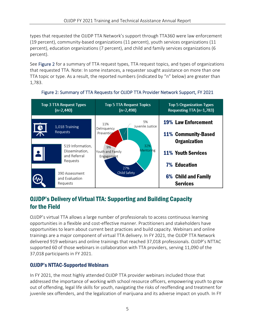types that requested the OJJDP TTA Network's support through TTA360 were law enforcement (19 percent), community-based organizations (11 percent), youth services organizations (11 percent), education organizations (7 percent), and child and family services organizations (6 percent).

See Figure 2 for a summary of TTA request types, TTA request topics, and types of organizations that requested TTA. Note: In some instances, a requester sought assistance on more than one TTA topic or type. As a result, the reported numbers (indicated by "n" below) are greater than 1,783.



Figure 2: Summary of TTA Requests for OJJDP TTA Provider Network Support, FY 2021

### <span id="page-6-0"></span>OJJDP's Delivery of VirtualTTA: Supporting and Building Capacity for the Field

OJJDP's virtual TTA allows a large number of professionals to access continuous learning opportunities in a flexible and cost-effective manner. Practitioners and stakeholders have opportunities to learn about current best practices and build capacity. Webinars and online trainings are a major component of virtual TTA delivery. In FY 2021, the OJJDP TTA Network delivered 919 webinars and online trainings that reached 37,018 professionals. OJJDP's NTTAC supported 60 of those webinars in collaboration with TTA providers, serving 11,090 of the 37,018 participants in FY 2021.

### <span id="page-6-1"></span>OJJDP's NTTAC-Supported Webinars

In FY 2021, the most highly attended OJJDP TTA provider webinars included those that addressed the importance of working with school resource officers, empowering youth to grow out of offending, legal life skills for youth, navigating the risks of reoffending and treatment for juvenile sex offenders, and the legalization of marijuana and its adverse impact on youth. In FY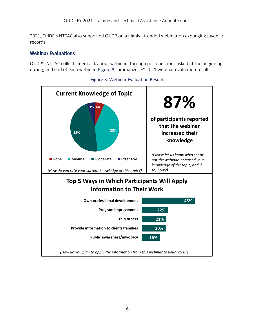2021, OJJDP's NTTAC also supported OJJDP on a highly attended webinar on expunging juvenile records.

#### <span id="page-7-0"></span>Webinar Evaluations

OJJDP's NTTAC collects feedback about webinars through poll questions asked at the beginning, during, and end of each webinar. Figure 3 summarizes FY 2021 webinar evaluation results.



#### Figure 3: Webinar Evaluation Results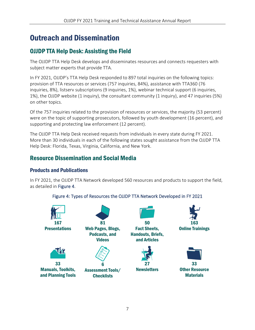# <span id="page-8-0"></span>Outreach and Dissemination

### <span id="page-8-1"></span>OJJDP TTA Help Desk: Assisting the Field

The OJJDP TTA Help Desk develops and disseminates resources and connects requesters with subject matter experts that provide TTA.

In FY 2021, OJJDP's TTA Help Desk responded to 897 total inquiries on the following topics: provision of TTA resources or services (757 inquiries, 84%), assistance with TTA360 (76 inquiries, 8%), listserv subscriptions (9 inquiries, 1%), webinar technical support (6 inquiries, 1%), the OJJDP website (1 inquiry), the consultant community (1 inquiry), and 47 inquiries (5%) on other topics.

Of the 757 inquiries related to the provision of resources or services, the majority (53 percent) were on the topic of supporting prosecutors, followed by youth development (16 percent), and supporting and protecting law enforcement (12 percent).

The OJJDP TTA Help Desk received requests from individuals in every state during FY 2021. More than 30 individuals in each of the following states sought assistance from the OJJDP TTA Help Desk: Florida, Texas, Virginia, California, and New York.

### <span id="page-8-2"></span>Resource Dissemination and Social Media

#### <span id="page-8-3"></span>Products and Publications

In FY 2021, the OJJDP TTA Network developed 560 resources and products to support the field, as detailed in Figure 4.